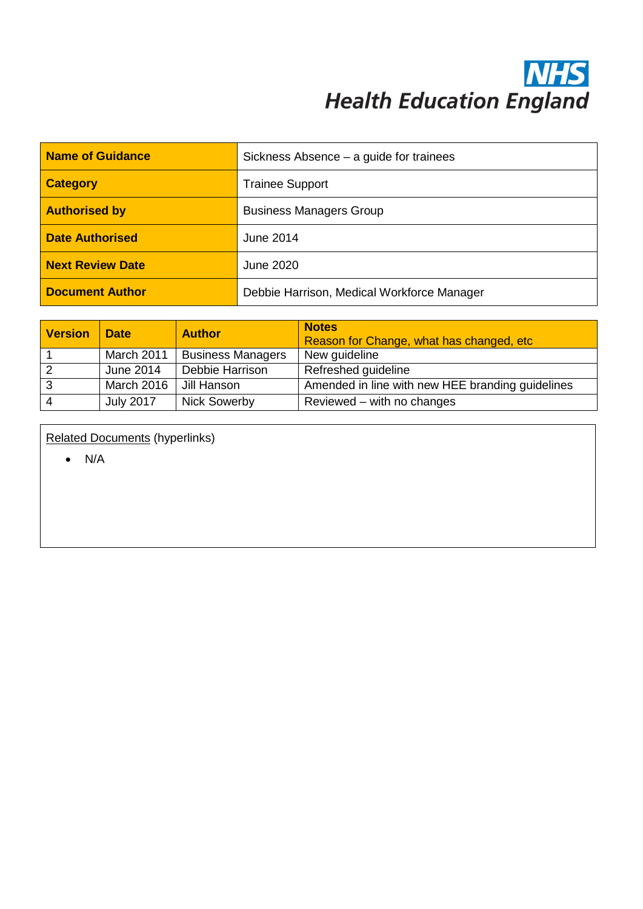## **NHS**<br>Health Education England

| Name of Guidance        | Sickness Absence – a guide for trainees    |  |
|-------------------------|--------------------------------------------|--|
| <b>Category</b>         | <b>Trainee Support</b>                     |  |
| <b>Authorised by</b>    | <b>Business Managers Group</b>             |  |
| <b>Date Authorised</b>  | <b>June 2014</b>                           |  |
| <b>Next Review Date</b> | June 2020                                  |  |
| <b>Document Author</b>  | Debbie Harrison, Medical Workforce Manager |  |

| <b>Version</b> | <b>Date</b>      | <b>Author</b>            | <b>Notes</b><br>Reason for Change, what has changed, etc. |
|----------------|------------------|--------------------------|-----------------------------------------------------------|
|                | March 2011       | <b>Business Managers</b> | New guideline                                             |
|                | June 2014        | Debbie Harrison          | Refreshed guideline                                       |
| 3              | March 2016       | Jill Hanson              | Amended in line with new HEE branding guidelines          |
|                | <b>July 2017</b> | <b>Nick Sowerby</b>      | Reviewed – with no changes                                |

Related Documents (hyperlinks)

• N/A